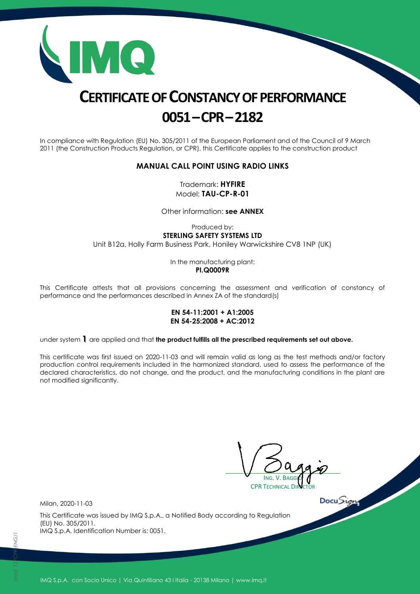

# **CERTIFICATE OF CONSTANCY OF PERFORMANCE 0051–CPR–2182**

In compliance with Regulation (EU) No. 305/2011 of the European Parliament and of the Council of 9 March 2011 (the Construction Products Regulation, or CPR), this Certificate applies to the construction product

#### **MANUAL CALL POINT USING RADIO LINKS**

Trademark: **HYFIRE** Model: **TAU-CP-R-01**

Other information: **see ANNEX**

Produced by: **STERLING SAFETY SYSTEMS LTD** Unit B12a, Holly Farm Business Park, Honiley Warwickshire CV8 1NP (UK)

> In the manufacturing plant: **PI.Q0009R**

This Certificate attests that all provisions concerning the assessment and verification of constancy of performance and the performances described in Annex ZA of the standard(s)

#### **EN 54-11:2001 + A1:2005 EN 54-25:2008 + AC:2012**

under system **1** are applied and that **the product fulfills all the prescribed requirements set out above.**

This certificate was first issued on 2020-11-03 and will remain valid as long as the test methods and/or factory production control requirements included in the harmonized standard, used to assess the performance of the declared characteristics, do not change, and the product, and the manufacturing conditions in the plant are not modified significantly.

ING. V. BAGGIO **CPR TECHNICAL DI** 

 $DocuSigma$ 

Milan, 2020-11-03

This Certificate was issued by IMQ S.p.A., a Notified Body according to Regulation (EU) No. 305/2011. IMQ S.p.A. Identification Number is: 0051.